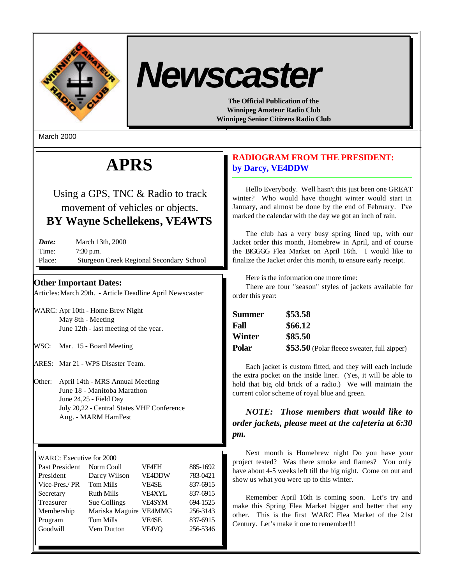

# *Newscaster*

**The Official Publication of the Winnipeg Amateur Radio Club Winnipeg Senior Citizens Radio Club**

March 2000

# **APRS**

Using a GPS, TNC & Radio to track movement of vehicles or objects. **BY Wayne Schellekens, VE4WTS**

*Date:* March 13th, 2000 Time: 7:30 p.m. Place: Sturgeon Creek Regional Secondary School

# **Other Important Dates:**

Articles: March 29th. - Article Deadline April Newscaster

WARC: Apr 10th - Home Brew Night May 8th - Meeting June 12th - last meeting of the year.

WSC: Mar. 15 - Board Meeting

ARES: Mar 21 - WPS Disaster Team.

Other: April 14th - MRS Annual Meeting June 18 - Manitoba Marathon June 24,25 - Field Day July 20,22 - Central States VHF Conference Aug. - MARM HamFest

| WARC: Executive for 2000 |                   |               |          |  |  |
|--------------------------|-------------------|---------------|----------|--|--|
| Past President           | Norm Coull        | <b>VF4EH</b>  | 885-1692 |  |  |
| President                | Darcy Wilson      | VE4DDW        | 783-0421 |  |  |
| Vice-Pres./PR            | <b>Tom Mills</b>  | <b>VE4SE</b>  | 837-6915 |  |  |
| Secretary                | <b>Ruth Mills</b> | <b>VFAXYL</b> | 837-6915 |  |  |
| Treasurer                | Sue Collings      | <b>VE4SYM</b> | 694-1525 |  |  |
| Membership               | Mariska Maguire   | <b>VE4MMG</b> | 256-3143 |  |  |
| Program                  | <b>Tom Mills</b>  | <b>VE4SE</b>  | 837-6915 |  |  |
| Goodwill                 | Vern Dutton       | VE4VQ         | 256-5346 |  |  |

# **RADIOGRAM FROM THE PRESIDENT: by Darcy, VE4DDW**

Hello Everybody. Well hasn't this just been one GREAT winter? Who would have thought winter would start in January, and almost be done by the end of February. I've marked the calendar with the day we got an inch of rain.

The club has a very busy spring lined up, with our Jacket order this month, Homebrew in April, and of course the BIGGGG Flea Market on April 16th. I would like to finalize the Jacket order this month, to ensure early receipt.

Here is the information one more time:

There are four "season" styles of jackets available for order this year:

| <b>Summer</b> | \$53.58                                     |
|---------------|---------------------------------------------|
| Fall          | \$66.12                                     |
| Winter        | \$85.50                                     |
| Polar         | \$53.50 (Polar fleece sweater, full zipper) |

Each jacket is custom fitted, and they will each include the extra pocket on the inside liner. (Yes, it will be able to hold that big old brick of a radio.) We will maintain the current color scheme of royal blue and green.

# *NOTE: Those members that would like to order jackets, please meet at the cafeteria at 6:30 pm.*

Next month is Homebrew night Do you have your project tested? Was there smoke and flames? You only have about 4-5 weeks left till the big night. Come on out and show us what you were up to this winter.

Remember April 16th is coming soon. Let's try and make this Spring Flea Market bigger and better that any other. This is the first WARC Flea Market of the 21st Century. Let's make it one to remember!!!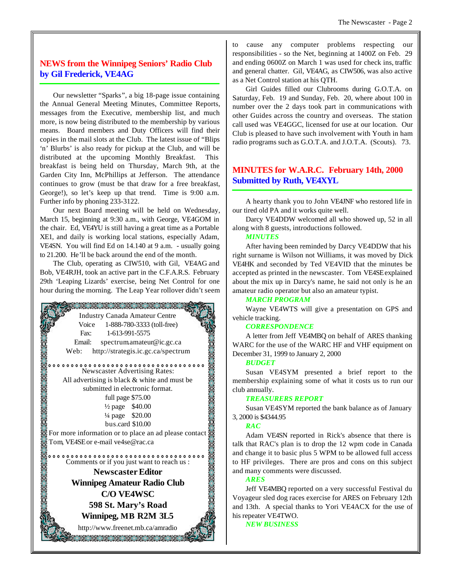# **NEWS from the Winnipeg Seniors' Radio Club by Gil Frederick, VE4AG**

Our newsletter "Sparks", a big 18-page issue containing the Annual General Meeting Minutes, Committee Reports, messages from the Executive, membership list, and much more, is now being distributed to the membership by various means. Board members and Duty Officers will find their copies in the mail slots at the Club. The latest issue of "Blips 'n' Blurbs' is also ready for pickup at the Club, and will be distributed at the upcoming Monthly Breakfast. This breakfast is being held on Thursday, March 9th, at the Garden City Inn, McPhillips at Jefferson. The attendance continues to grow (must be that draw for a free breakfast, George!), so let's keep up that trend. Time is 9:00 a.m. Further info by phoning 233-3122.

Our next Board meeting will be held on Wednesday, March 15, beginning at 9:30 a.m., with George, VE4GOM in the chair. Ed, VE4YU is still having a great time as a Portable XE1, and daily is working local stations, especially Adam, VE4SN. You will find Ed on 14.140 at 9 a.m. - usually going to 21.200. He'll be back around the end of the month.

The Club, operating as CIW510, with Gil, VE4AG and Bob, VE4RJH, took an active part in the C.F.A.R.S. February 29th 'Leaping Lizards' exercise, being Net Control for one hour during the morning. The Leap Year rollover didn't seem



to cause any computer problems respecting our responsibilities - so the Net, beginning at 1400Z on Feb. 29 and ending 0600Z on March 1 was used for check ins, traffic and general chatter. Gil, VE4AG, as CIW506, was also active as a Net Control station at his QTH.

Girl Guides filled our Clubrooms during G.O.T.A. on Saturday, Feb. 19 and Sunday, Feb. 20, where about 100 in number over the 2 days took part in communications with other Guides across the country and overseas. The station call used was VE4GGC, licensed for use at our location. Our Club is pleased to have such involvement with Youth in ham radio programs such as G.O.T.A. and J.O.T.A. (Scouts). 73.

# **MINUTES for W.A.R.C. February 14th, 2000 Submitted by Ruth, VE4XYL**

A hearty thank you to John VE4JNF who restored life in our tired old PA and it works quite well.

Darcy VE4DDW welcomed all who showed up, 52 in all along with 8 guests, introductions followed.

#### *MINUTES*

After having been reminded by Darcy VE4DDW that his right surname is Wilson not Williams, it was moved by Dick VE4HK and seconded by Ted VE4VID that the minutes be accepted as printed in the newscaster. Tom VE4SE explained about the mix up in Darcy's name, he said not only is he an amateur radio operator but also an amateur typist.

#### *MARCH PROGRAM*

Wayne VE4WTS will give a presentation on GPS and vehicle tracking.

#### *CORRESPONDENCE*

A letter from Jeff VE4MBQ on behalf of ARES thanking WARC for the use of the WARC HF and VHF equipment on December 31, 1999 to January 2, 2000

#### *BUDGET*

Susan VE4SYM presented a brief report to the membership explaining some of what it costs us to run our club annually.

#### *TREASURERS REPORT*

Susan VE4SYM reported the bank balance as of January 3, 2000 is \$4344.95

#### *RAC*

Adam VE4SN reported in Rick's absence that there is talk that RAC's plan is to drop the 12 wpm code in Canada and change it to basic plus 5 WPM to be allowed full access to HF privileges. There are pros and cons on this subject and many comments were discussed.

#### *ARES*

Jeff VE4MBQ reported on a very successful Festival du Voyageur sled dog races exercise for ARES on February 12th and 13th. A special thanks to Yori VE4ACX for the use of his repeater VE4TWO.

*NEW BUSINESS*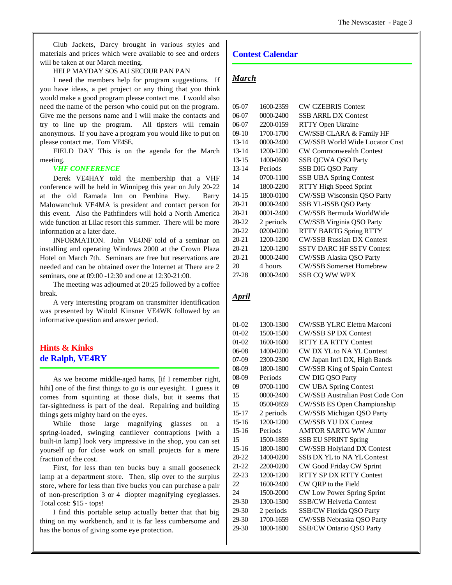Club Jackets, Darcy brought in various styles and materials and prices which were available to see and orders will be taken at our March meeting.

#### HELP MAYDAY SOS AU SECOUR PAN PAN

I need the members help for program suggestions. If you have ideas, a pet project or any thing that you think would make a good program please contact me. I would also need the name of the person who could put on the program. Give me the persons name and I will make the contacts and try to line up the program. All tipsters will remain anonymous. If you have a program you would like to put on please contact me. Tom VE4SE.

FIELD DAY This is on the agenda for the March meeting.

#### *VHF CONFERENCE*

Derek VE4HAY told the membership that a VHF conference will be held in Winnipeg this year on July 20-22 at the old Ramada Inn on Pembina Hwy. Barry Malowanchuk VE4MA is president and contact person for this event. Also the Pathfinders will hold a North America wide function at Lilac resort this summer. There will be more information at a later date.

INFORMATION. John VE4JNF told of a seminar on installing and operating Windows 2000 at the Crown Plaza Hotel on March 7th. Seminars are free but reservations are needed and can be obtained over the Internet at There are 2 seminars, one at 09:00 -12:30 and one at 12:30-21:00.

The meeting was adjourned at 20:25 followed by a coffee break.

A very interesting program on transmitter identification was presented by Witold Kinsner VE4WK followed by an informative question and answer period.

# **Hints & Kinks de Ralph, VE4RY**

As we become middle-aged hams, [if I remember right, hihi] one of the first things to go is our eyesight. I guess it comes from squinting at those dials, but it seems that far-sightedness is part of the deal. Repairing and building things gets mighty hard on the eyes.

While those large magnifying glasses on a spring-loaded, swinging cantilever contraptions [with a built-in lamp] look very impressive in the shop, you can set yourself up for close work on small projects for a mere fraction of the cost.

First, for less than ten bucks buy a small gooseneck lamp at a department store. Then, slip over to the surplus store, where for less than five bucks you can purchase a pair of non-prescription 3 or 4 diopter magnifying eyeglasses. Total cost: \$15 - tops!

I find this portable setup actually better that that big thing on my workbench, and it is far less cumbersome and has the bonus of giving some eye protection.

## **Contest Calendar**

## *March*

| 05-07     | 1600-2359     | <b>CW CZEBRIS Contest</b>             |
|-----------|---------------|---------------------------------------|
| 06-07     | 0000-2400     | <b>SSB ARRL DX Contest</b>            |
| 06-07     | 2200-0159     | RTTY Open Ukraine                     |
| 09-10     | 1700-1700     | CW/SSB CLARA & Family HF              |
| 13-14     | 0000-2400     | <b>CW/SSB World Wide Locator Cnst</b> |
| 13-14     | 1200-1200     | <b>CW Commonwealth Contest</b>        |
| 13-15     | 1400-0600     | <b>SSB QCWA QSO Party</b>             |
| $13 - 14$ | Periods       | SSB DIG QSO Party                     |
| 14        | 0700-1100     | <b>SSB UBA Spring Contest</b>         |
| 14        | 1800-2200     | <b>RTTY High Speed Sprint</b>         |
| 14-15     | 1800-0100     | CW/SSB Wisconsin QSO Party            |
| 20-21     | 0000-2400     | SSB YL-ISSB QSO Party                 |
| 20-21     | $0001 - 2400$ | CW/SSB Bermuda WorldWide              |
| 20-22     | 2 periods     | CW/SSB Virginia QSO Party             |
| 20-22     | 0200-0200     | <b>RTTY BARTG Spring RTTY</b>         |
| 20-21     | 1200-1200     | <b>CW/SSB Russian DX Contest</b>      |
| 20-21     | 1200-1200     | <b>SSTV DARC HF SSTV Contest</b>      |
| 20-21     | 0000-2400     | CW/SSB Alaska QSO Party               |
| 20        | 4 hours       | <b>CW/SSB Somerset Homebrew</b>       |
| 27-28     | $0000 - 2400$ | <b>SSB CO WW WPX</b>                  |
|           |               |                                       |

# *April*

| $01-02$   | 1300-1300 | <b>CW/SSB YLRC Elettra Marconi</b>     |
|-----------|-----------|----------------------------------------|
| 01-02     | 1500-1500 | <b>CW/SSB SP DX Contest</b>            |
| 01-02     | 1600-1600 | <b>RTTY EA RTTY Contest</b>            |
| 06-08     | 1400-0200 | CW DX YL to NA YL Contest              |
| 07-09     | 2300-2300 | CW Japan Int'l DX, High Bands          |
| 08-09     | 1800-1800 | CW/SSB King of Spain Contest           |
| 08-09     | Periods   | CW DIG QSO Party                       |
| 09        | 0700-1100 | <b>CW UBA Spring Contest</b>           |
| 15        | 0000-2400 | <b>CW/SSB Australian Post Code Con</b> |
| 15        | 0500-0859 | CW/SSB ES Open Championship            |
| $15 - 17$ | 2 periods | CW/SSB Michigan QSO Party              |
| $15-16$   | 1200-1200 | <b>CW/SSB YU DX Contest</b>            |
| $15-16$   | Periods   | <b>AMTOR SARTG WW Amtor</b>            |
| 15        | 1500-1859 | <b>SSB EU SPRINT Spring</b>            |
| $15-16$   | 1800-1800 | <b>CW/SSB Holyland DX Contest</b>      |
| 20-22     | 1400-0200 | <b>SSB DX YL</b> to NA YL Contest      |
| 21-22     | 2200-0200 | CW Good Friday CW Sprint               |
| 22-23     | 1200-1200 | <b>RTTY SP DX RTTY Contest</b>         |
| 22        | 1600-2400 | CW QRP to the Field                    |
| 24        | 1500-2000 | CW Low Power Spring Sprint             |
| 29-30     | 1300-1300 | <b>SSB/CW Helvetia Contest</b>         |
| 29-30     | 2 periods | <b>SSB/CW Florida QSO Party</b>        |
| 29-30     | 1700-1659 | CW/SSB Nebraska QSO Party              |
| 29-30     | 1800-1800 | <b>SSB/CW Ontario QSO Party</b>        |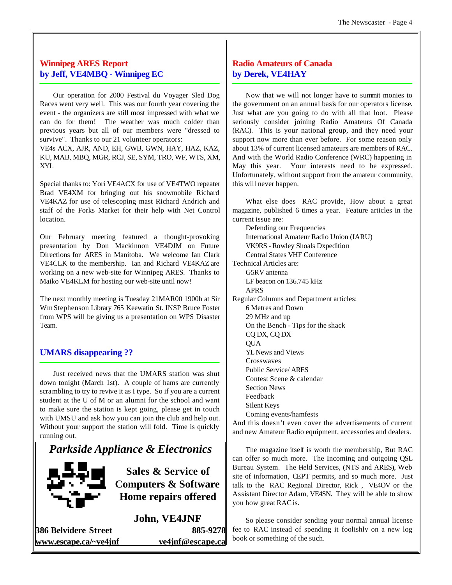# **Winnipeg ARES Report by Jeff, VE4MBQ - Winnipeg EC**

Our operation for 2000 Festival du Voyager Sled Dog Races went very well. This was our fourth year covering the event - the organizers are still most impressed with what we can do for them! The weather was much colder than previous years but all of our members were "dressed to survive". Thanks to our 21 volunteer operators:

VE4s ACX, AJR, AND, EH, GWB, GWN, HAY, HAZ, KAZ, KU, MAB, MBQ, MGR, RCJ, SE, SYM, TRO, WF, WTS, XM, XYL

Special thanks to: Yori VE4ACX for use of VE4TWO repeater Brad VE4XM for bringing out his snowmobile Richard VE4KAZ for use of telescoping mast Richard Andrich and staff of the Forks Market for their help with Net Control location.

Our February meeting featured a thought-provoking presentation by Don Mackinnon VE4DJM on Future Directions for ARES in Manitoba. We welcome Ian Clark VE4CLK to the membership. Ian and Richard VE4KAZ are working on a new web-site for Winnipeg ARES. Thanks to Maiko VE4KLM for hosting our web-site until now!

The next monthly meeting is Tuesday 21MAR00 1900h at Sir WmStephenson Library 765 Keewatin St. INSP Bruce Foster from WPS will be giving us a presentation on WPS Disaster Team.

# **UMARS disappearing ??**

Just received news that the UMARS station was shut down tonight (March 1st). A couple of hams are currently scrambling to try to revive it as I type. So if you are a current student at the U of M or an alumni for the school and want to make sure the station is kept going, please get in touch with UMSU and ask how you can join the club and help out. Without your support the station will fold. Time is quickly running out.

# *Parkside Appliance & Electronics*



**Sales & Service of Computers & Software Home repairs offered**

**John, VE4JNF**

**386 Belvidere Street 885-9278 www.escape.ca/~ve4jnf ve4jnf@escape.ca**

# **Radio Amateurs of Canada by Derek, VE4HAY**

Now that we will not longer have to summit monies to the government on an annual basis for our operators license. Just what are you going to do with all that loot. Please seriously consider joining Radio Amateurs Of Canada (RAC). This is your national group, and they need your support now more than ever before. For some reason only about 13% of current licensed amateurs are members of RAC. And with the World Radio Conference (WRC) happening in May this year. Your interests need to be expressed. Unfortunately, without support from the amateur community, this will never happen.

What else does RAC provide, How about a great magazine, published 6 times a year. Feature articles in the current issue are:

Defending our Frequencies International Amateur Radio Union (IARU) VK9RS - Rowley Shoals Dxpedition Central States VHF Conference Technical Articles are: G5RV antenna LF beacon on 136.745 kHz APRS Regular Columns and Department articles: 6 Metres and Down 29 MHz and up On the Bench - Tips for the shack CQ DX, CQ DX **OUA** YL News and Views **Crosswaves** Public Service/ ARES Contest Scene & calendar Section News Feedback Silent Keys Coming events/hamfests

And this doesn't even cover the advertisements of current and new Amateur Radio equipment, accessories and dealers.

The magazine itself is worth the membership, But RAC can offer so much more. The Incoming and outgoing QSL Bureau System. The Field Services, (NTS and ARES), Web site of information, CEPT permits, and so much more. Just talk to the RAC Regional Director, Rick , VE4OV or the Assistant Director Adam, VE4SN. They will be able to show you how great RAC is.

So please consider sending your normal annual license fee to RAC instead of spending it foolishly on a new log book or something of the such.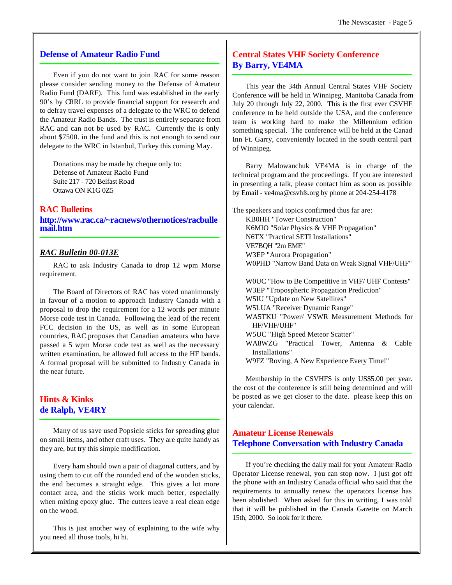### **Defense of Amateur Radio Fund**

Even if you do not want to join RAC for some reason please consider sending money to the Defense of Amateur Radio Fund (DARF). This fund was established in the early 90's by CRRL to provide financial support for research and to defray travel expenses of a delegate to the WRC to defend the Amateur Radio Bands. The trust is entirely separate from RAC and can not be used by RAC. Currently the is only about \$7500. in the fund and this is not enough to send our delegate to the WRC in Istanbul, Turkey this coming May.

Donations may be made by cheque only to: Defense of Amateur Radio Fund Suite 217 - 720 Belfast Road Ottawa ON K1G 0Z5

## **RAC Bulletins**

**http://www.rac.ca/~racnews/othernotices/racbulle mail.htm**

#### *RAC Bulletin 00-013E*

RAC to ask Industry Canada to drop 12 wpm Morse requirement.

The Board of Directors of RAC has voted unanimously in favour of a motion to approach Industry Canada with a proposal to drop the requirement for a 12 words per minute Morse code test in Canada. Following the lead of the recent FCC decision in the US, as well as in some European countries, RAC proposes that Canadian amateurs who have passed a 5 wpm Morse code test as well as the necessary written examination, be allowed full access to the HF bands. A formal proposal will be submitted to Industry Canada in the near future.

# **Hints & Kinks de Ralph, VE4RY**

Many of us save used Popsicle sticks for spreading glue on small items, and other craft uses. They are quite handy as they are, but try this simple modification.

Every ham should own a pair of diagonal cutters, and by using them to cut off the rounded end of the wooden sticks, the end becomes a straight edge. This gives a lot more contact area, and the sticks work much better, especially when mixing epoxy glue. The cutters leave a real clean edge on the wood.

This is just another way of explaining to the wife why you need all those tools, hi hi.

# **Central States VHF Society Conference By Barry, VE4MA**

This year the 34th Annual Central States VHF Society Conference will be held in Winnipeg, Manitoba Canada from July 20 through July 22, 2000. This is the first ever CSVHF conference to be held outside the USA, and the conference team is working hard to make the Millennium edition something special. The conference will be held at the Canad Inn Ft. Garry, conveniently located in the south central part of Winnipeg.

Barry Malowanchuk VE4MA is in charge of the technical program and the proceedings. If you are interested in presenting a talk, please contact him as soon as possible by Email - ve4ma@csvhfs.org by phone at 204-254-4178

The speakers and topics confirmed thus far are: KB0HH "Tower Construction" K6MIO "Solar Physics & VHF Propagation" N6TX "Practical SETI Installations" VE7BQH "2m EME" W3EP "Aurora Propagation" W0PHD "Narrow Band Data on Weak Signal VHF/UHF"

W0UC "How to Be Competitive in VHF/ UHF Contests" W3EP "Tropospheric Propagation Prediction" W5IU "Update on New Satellites" W5LUA "Receiver Dynamic Range" WA5TKU "Power/ VSWR Measurement Methods for HF/VHF/UHF" W5UC "High Speed Meteor Scatter" WA8WZG "Practical Tower, Antenna & Cable Installations" W9FZ "Roving, A New Experience Every Time!"

Membership in the CSVHFS is only US\$5.00 per year. the cost of the conference is still being determined and will be posted as we get closer to the date. please keep this on your calendar.

# **Amateur License Renewals Telephone Conversation with Industry Canada**

If you're checking the daily mail for your Amateur Radio Operator License renewal, you can stop now. I just got off the phone with an Industry Canada official who said that the requirements to annually renew the operators license has been abolished. When asked for this in writing, I was told that it will be published in the Canada Gazette on March 15th, 2000. So look for it there.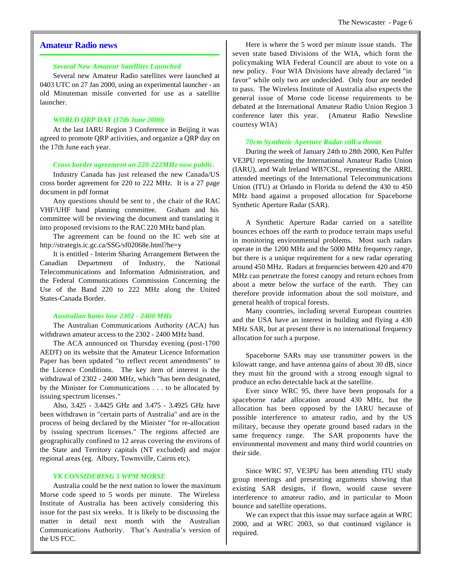#### **Amateur Radio news**

#### *Several New Amateur Satellites Launched*

Several new Amateur Radio satellites were launched at 0403 UTC on 27 Jan 2000, using an experimental launcher - an old Minuteman missile converted for use as a satellite launcher.

#### *WORLD QRP DAY (17th June 2000)*

At the last IARU Region 3 Conference in Beijing it was agreed to promote QRP activities, and organize a QRP day on the 17th June each year.

#### *Cross border agreement on 220-222MHz now public.*

Industry Canada has just released the new Canada/US cross border agreement for 220 to 222 MHz. It is a 27 page document in pdf format

Any questions should be sent to , the chair of the RAC VHF/UHF band planning committee. Graham and his committee will be reviewing the document and translating it into proposed revisions to the RAC 220 MHz band plan.

The agreement can be found on the IC web site at http://strategis.ic.gc.ca/SSG/sf02068e.html?he=y

It is entitled - Interim Sharing Arrangement Between the Canadian Department of Industry, the National Telecommunications and Information Administration, and the Federal Communications Commission Concerning the Use of the Band 220 to 222 MHz along the United States-Canada Border.

#### *Australian hams lose 2302 - 2400 MHz*

The Australian Communications Authority (ACA) has withdrawn amateur access to the 2302 - 2400 MHz band.

The ACA announced on Thursday evening (post-1700 AEDT) on its website that the Amateur Licence Information Paper has been updated "to reflect recent amendments" to the Licence Conditions. The key item of interest is the withdrawal of 2302 - 2400 MHz, which "has been designated, by the Minister for Communications . . . to be allocated by issuing spectrum licenses."

Also, 3.425 - 3.4425 GHz and 3.475 - 3.4925 GHz have been withdrawn in "certain parts of Australia" and are in the process of being declared by the Minister "for re-allocation by issuing spectrum licenses." The regions affected are geographically confined to 12 areas covering the environs of the State and Territory capitals (NT excluded) and major regional areas (eg. Albury, Townsville, Cairns etc).

#### *VK CONSIDERING 5 WPM MORSE*

Australia could be the next nation to lower the maximum Morse code speed to 5 words per minute. The Wireless Institute of Australia has been actively considering this issue for the past six weeks. It is likely to be discussing the matter in detail next month with the Australian Communications Authority. That's Australia's version of the US FCC.

Here is where the 5 word per minute issue stands. The seven state based Divisions of the WIA, which form the policymaking WIA Federal Council are about to vote on a new policy. Four WIA Divisions have already declared "in favor" while only two are undecided. Only four are needed to pass. The Wireless Institute of Australia also expects the general issue of Morse code license requirements to be debated at the International Amateur Radio Union Region 3 conference later this year. (Amateur Radio Newsline courtesy WIA)

#### *70cm Synthetic Aperture Radar still a threat*

During the week of January 24th to 28th 2000, Ken Pulfer VE3PU representing the International Amateur Radio Union (IARU), and Walt Ireland WB7CSL, representing the ARRL attended meetings of the International Telecommunications Union (ITU) at Orlando in Florida to defend the 430 to 450 MHz band against a proposed allocation for Spaceborne Synthetic Aperture Radar (SAR).

A Synthetic Aperture Radar carried on a satellite bounces echoes off the earth to produce terrain maps useful in monitoring environmental problems. Most such radars operate in the 1200 MHz and the 5000 MHz frequency range, but there is a unique requirement for a new radar operating around 450 MHz. Radars at frequencies between 420 and 470 MHz can penetrate the forest canopy and return echoes from about a metre below the surface of the earth. They can therefore provide information about the soil moisture, and general health of tropical forests.

Many countries, including several European countries and the USA have an interest in building and flying a 430 MHz SAR, but at present there is no international frequency allocation for such a purpose.

Spaceborne SARs may use transmitter powers in the kilowatt range, and have antenna gains of about 30 dB, since they must hit the ground with a strong enough signal to produce an echo detectable back at the satellite.

Ever since WRC 95, there have been proposals for a spaceborne radar allocation around 430 MHz, but the allocation has been opposed by the IARU because of possible interference to amateur radio, and by the US military, because they operate ground based radars in the same frequency range. The SAR proponents have the environmental movement and many third world countries on their side.

Since WRC 97, VE3PU has been attending ITU study group meetings and presenting arguments showing that existing SAR designs, if flown, would cause severe interference to amateur radio, and in particular to Moon bounce and satellite operations.

We can expect that this issue may surface again at WRC 2000, and at WRC 2003, so that continued vigilance is required.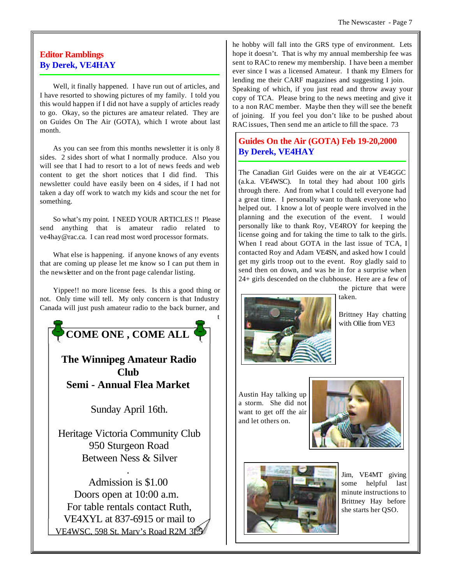# **Editor Ramblings By Derek, VE4HAY**

Well, it finally happened. I have run out of articles, and I have resorted to showing pictures of my family. I told you this would happen if I did not have a supply of articles ready to go. Okay, so the pictures are amateur related. They are on Guides On The Air (GOTA), which I wrote about last month.

As you can see from this months newsletter it is only 8 sides. 2 sides short of what I normally produce. Also you will see that I had to resort to a lot of news feeds and web content to get the short notices that I did find. This newsletter could have easily been on 4 sides, if I had not taken a day off work to watch my kids and scour the net for something.

So what's my point. I NEED YOUR ARTICLES !! Please send anything that is amateur radio related to ve4hay@rac.ca. I can read most word processor formats.

What else is happening. if anyone knows of any events that are coming up please let me know so I can put them in the newsletter and on the front page calendar listing.

Yippee!! no more license fees. Is this a good thing or not. Only time will tell. My only concern is that Industry Canada will just push amateur radio to the back burner, and



he hobby will fall into the GRS type of environment. Lets hope it doesn't. That is why my annual membership fee was sent to RAC to renew my membership. I have been a member ever since I was a licensed Amateur. I thank my Elmers for lending me their CARF magazines and suggesting I join. Speaking of which, if you just read and throw away your copy of TCA. Please bring to the news meeting and give it

to a non RAC member. Maybe then they will see the benefit of joining. If you feel you don't like to be pushed about RAC issues, Then send me an article to fill the space. 73

# **Guides On the Air (GOTA) Feb 19-20,2000 By Derek, VE4HAY**

The Canadian Girl Guides were on the air at VE4GGC (a.k.a. VE4WSC). In total they had about 100 girls through there. And from what I could tell everyone had a great time. I personally want to thank everyone who helped out. I know a lot of people were involved in the planning and the execution of the event. I would personally like to thank Roy, VE4ROY for keeping the license going and for taking the time to talk to the girls. When I read about GOTA in the last issue of TCA, I contacted Roy and Adam VE4SN, and asked how I could get my girls troop out to the event. Roy gladly said to send then on down, and was he in for a surprise when 24+ girls descended on the clubhouse. Here are a few of the picture that were



taken.

Brittney Hay chatting with Ollie from VE3

Austin Hay talking up a storm. She did not want to get off the air and let others on.





Jim, VE4MT giving some helpful last minute instructions to Brittney Hay before she starts her QSO.